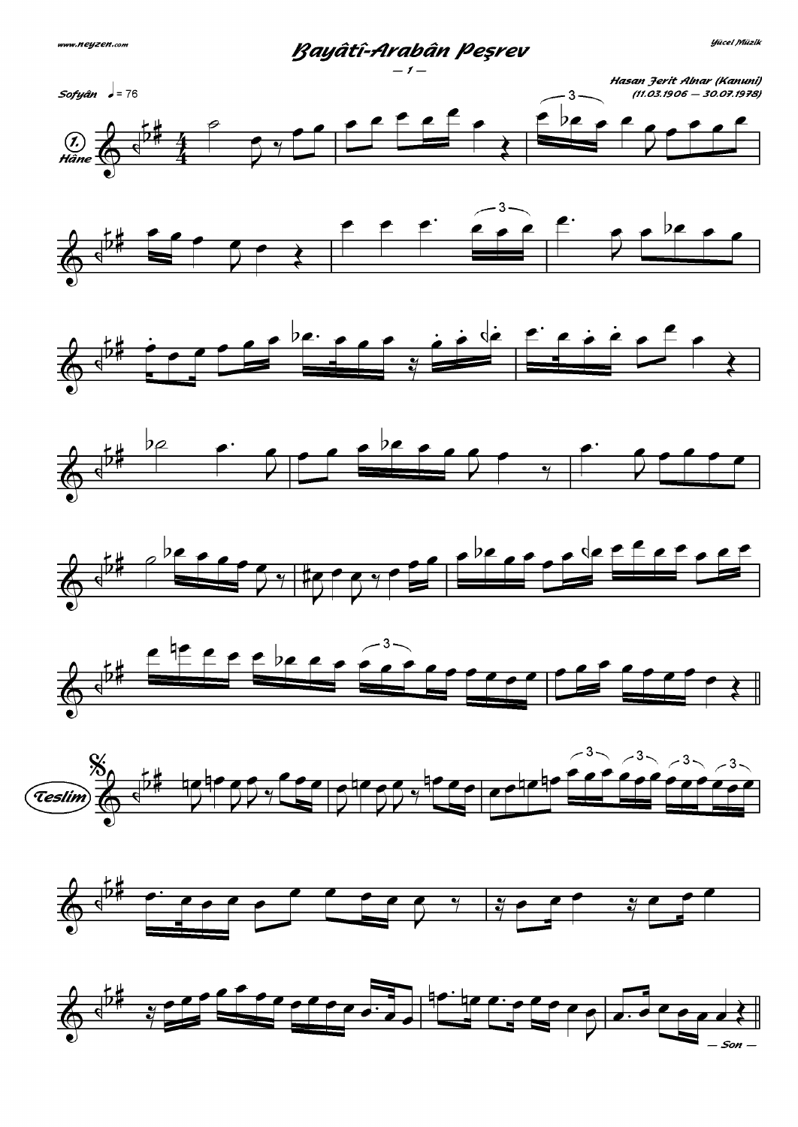Bayâtî-Arabân Peşrev

















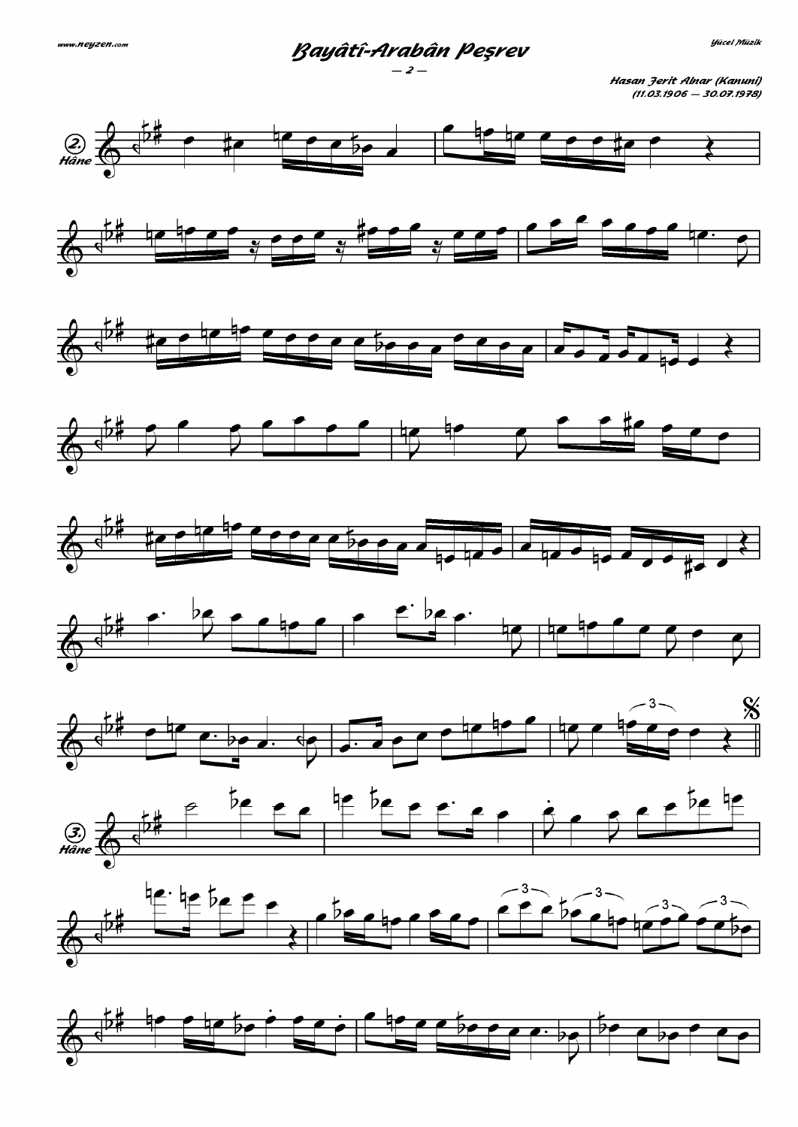Bayâtî-Arabân Peşrev

Hasan Jerit Alnar (Kanuni)  $(11.03.1906 - 30.07.1978)$